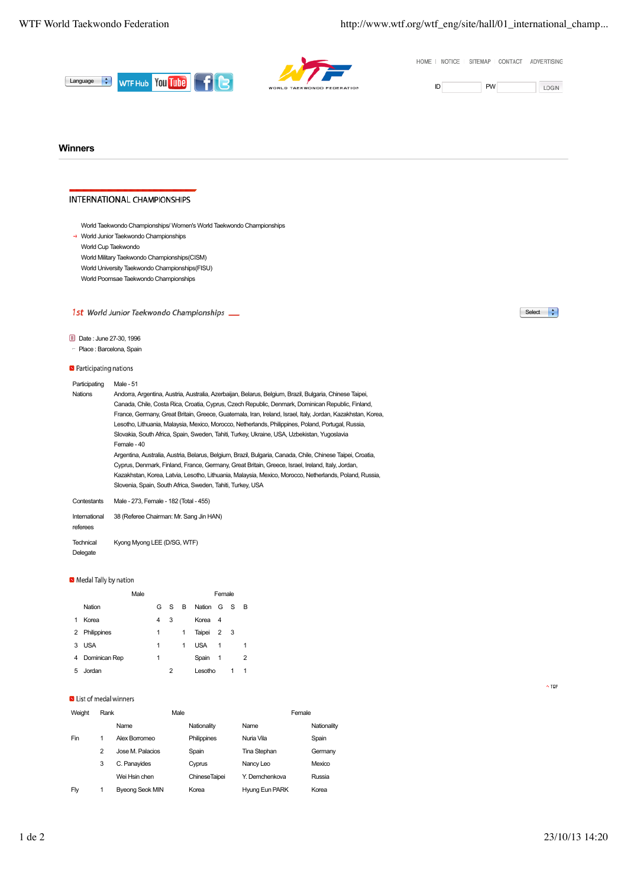HOME | NOTICE | SITEMAP | CONTACT | ADVERTISING





LOGIN

## **Winners**

# **INTERNATIONAL CHAMPIONSHIPS**

→ World Junior Taekwondo Championships

World Cup Taekwondo

- World Military Taekwondo Championships(CISM)
- World University Taekwondo Championships(FISU)
- World Poomsae Taekwondo Championships

# 1st World Junior Taekwondo Championships \_\_

# Date : June 27-30, 1996

#### - Place : Barcelona, Spain

**D** Participating nations

| Participating  | Male - 51                                                                                                   |
|----------------|-------------------------------------------------------------------------------------------------------------|
| <b>Nations</b> | Andorra, Argentina, Austria, Australia, Azerbaijan, Belarus, Belgium, Brazil, Bulgaria, Chinese Taipei,     |
|                | Canada, Chile, Costa Rica, Croatia, Cyprus, Czech Republic, Denmark, Dominican Republic, Finland,           |
|                | France, Germany, Great Britain, Greece, Guatemala, Iran, Ireland, Israel, Italy, Jordan, Kazakhstan, Korea, |
|                | Lesotho, Lithuania, Malaysia, Mexico, Morocco, Netherlands, Philippines, Poland, Portugal, Russia,          |
|                | Slovakia, South Africa, Spain, Sweden, Tahiti, Turkey, Ukraine, USA, Uzbekistan, Yugoslavia                 |
|                | Female - 40                                                                                                 |
|                | Argentina, Australia, Austria, Belarus, Belgium, Brazil, Bulgaria, Canada, Chile, Chinese Taipei, Croatia,  |
|                | Cyprus, Denmark, Finland, France, Germany, Great Britain, Greece, Israel, Ireland, Italy, Jordan,           |
|                | Kazakhstan, Korea, Latvia, Lesotho, Lithuania, Malaysia, Mexico, Morocco, Netherlands, Poland, Russia,      |
|                | Slovenia, Spain, South Africa, Sweden, Tahiti, Turkey, USA                                                  |
| Contestants    | Male - 273. Female - 182 (Total - 455)                                                                      |
| International  | 38 (Referee Chairman: Mr. Sang Jin HAN)                                                                     |

referees

**Technical** Delegate Kyong Myong LEE (D/SG, WTF)

### Medal Tally by nation

|   |               | Male |   |    |   |            | Female         |     |                |  |
|---|---------------|------|---|----|---|------------|----------------|-----|----------------|--|
|   | Nation        |      | G | S. | B | Nation G S |                |     | - B            |  |
| 1 | Korea         |      | 4 | 3  |   | Korea      | - 4            |     |                |  |
| 2 | Philippines   |      | 1 |    | 1 | Taipei     | $\overline{2}$ | - 3 |                |  |
| 3 | <b>USA</b>    |      | 1 |    | 1 | <b>USA</b> | 1              |     | 1              |  |
| 4 | Dominican Rep |      | 1 |    |   | Spain      | -1             |     | $\overline{2}$ |  |
| 5 | Jordan        |      |   | 2  |   | Lesotho    |                |     | 1              |  |

### ID List of medal winners

| Weight | Rank |                        | Male |                      |                       | Female      |  |  |
|--------|------|------------------------|------|----------------------|-----------------------|-------------|--|--|
|        |      | Name                   |      | Nationality          | Name                  | Nationality |  |  |
| Fin    | 1    | Alex Borromeo          |      | Philippines          | Nuria Vila            | Spain       |  |  |
|        | 2    | Jose M. Palacios       |      | Spain                | Tina Stephan          | Germany     |  |  |
|        | 3    | C. Panayides           |      | Cyprus               | Nancy Leo             | Mexico      |  |  |
|        |      | Wei Hsin chen          |      | <b>ChineseTaipei</b> | Y. Demchenkova        | Russia      |  |  |
| Flv    | 1    | <b>Byeong Seok MIN</b> |      | Korea                | <b>Hyung Eun PARK</b> | Korea       |  |  |

 $\fbox{Select}$   $\uparrow$ 

 $\sim$  TOP